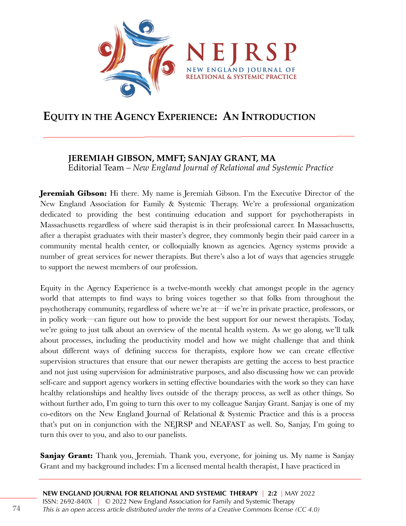

## **EQUITY IN THE AGENCY EXPERIENCE: AN INTRODUCTION**

## **JEREMIAH GIBSON, MMFT; SANJAY GRANT, MA**

Editorial Team *– New England Journal of Relational and Systemic Practice*

**Jeremiah Gibson:** Hi there. My name is Jeremiah Gibson. I'm the Executive Director of the New England Association for Family & Systemic Therapy. We're a professional organization dedicated to providing the best continuing education and support for psychotherapists in Massachusetts regardless of where said therapist is in their professional career. In Massachusetts, after a therapist graduates with their master's degree, they commonly begin their paid career in a community mental health center, or colloquially known as agencies. Agency systems provide a number of great services for newer therapists. But there's also a lot of ways that agencies struggle to support the newest members of our profession.

Equity in the Agency Experience is a twelve-month weekly chat amongst people in the agency world that attempts to find ways to bring voices together so that folks from throughout the psychotherapy community, regardless of where we're at—if we're in private practice, professors, or in policy work—can figure out how to provide the best support for our newest therapists. Today, we're going to just talk about an overview of the mental health system. As we go along, we'll talk about processes, including the productivity model and how we might challenge that and think about different ways of defining success for therapists, explore how we can create effective supervision structures that ensure that our newer therapists are getting the access to best practice and not just using supervision for administrative purposes, and also discussing how we can provide self-care and support agency workers in setting effective boundaries with the work so they can have healthy relationships and healthy lives outside of the therapy process, as well as other things. So without further ado, I'm going to turn this over to my colleague Sanjay Grant. Sanjay is one of my co-editors on the New England Journal of Relational & Systemic Practice and this is a process that's put on in conjunction with the NEJRSP and NEAFAST as well. So, Sanjay, I'm going to turn this over to you, and also to our panelists.

**Sanjay Grant:** Thank you, Jeremiah. Thank you, everyone, for joining us. My name is Sanjay Grant and my background includes: I'm a licensed mental health therapist, I have practiced in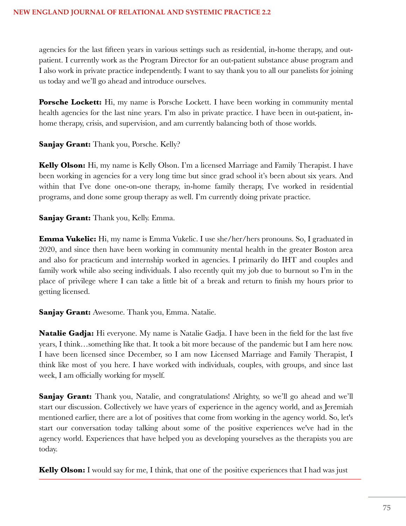agencies for the last fifteen years in various settings such as residential, in-home therapy, and outpatient. I currently work as the Program Director for an out-patient substance abuse program and I also work in private practice independently. I want to say thank you to all our panelists for joining us today and we'll go ahead and introduce ourselves.

**Porsche Lockett:** Hi, my name is Porsche Lockett. I have been working in community mental health agencies for the last nine years. I'm also in private practice. I have been in out-patient, inhome therapy, crisis, and supervision, and am currently balancing both of those worlds.

**Sanjay Grant:** Thank you, Porsche. Kelly?

**Kelly Olson:** Hi, my name is Kelly Olson. I'm a licensed Marriage and Family Therapist. I have been working in agencies for a very long time but since grad school it's been about six years. And within that I've done one-on-one therapy, in-home family therapy, I've worked in residential programs, and done some group therapy as well. I'm currently doing private practice.

**Sanjay Grant:** Thank you, Kelly. Emma.

**Emma Vukelic:** Hi, my name is Emma Vukelic. I use she/her/hers pronouns. So, I graduated in 2020, and since then have been working in community mental health in the greater Boston area and also for practicum and internship worked in agencies. I primarily do IHT and couples and family work while also seeing individuals. I also recently quit my job due to burnout so I'm in the place of privilege where I can take a little bit of a break and return to finish my hours prior to getting licensed.

**Sanjay Grant:** Awesome. Thank you, Emma. Natalie.

**Natalie Gadja:** Hi everyone. My name is Natalie Gadja. I have been in the field for the last five years, I think…something like that. It took a bit more because of the pandemic but I am here now. I have been licensed since December, so I am now Licensed Marriage and Family Therapist, I think like most of you here. I have worked with individuals, couples, with groups, and since last week, I am officially working for myself.

**Sanjay Grant:** Thank you, Natalie, and congratulations! Alrighty, so we'll go ahead and we'll start our discussion. Collectively we have years of experience in the agency world, and as Jeremiah mentioned earlier, there are a lot of positives that come from working in the agency world. So, let's start our conversation today talking about some of the positive experiences we've had in the agency world. Experiences that have helped you as developing yourselves as the therapists you are today.

**Kelly Olson:** I would say for me, I think, that one of the positive experiences that I had was just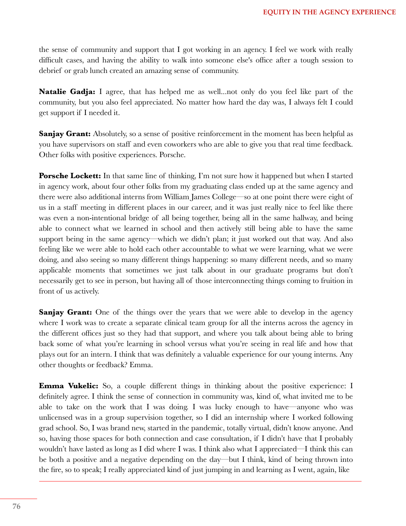the sense of community and support that I got working in an agency. I feel we work with really difficult cases, and having the ability to walk into someone else's office after a tough session to debrief or grab lunch created an amazing sense of community.

**Natalie Gadja:** I agree, that has helped me as well...not only do you feel like part of the community, but you also feel appreciated. No matter how hard the day was, I always felt I could get support if I needed it.

**Sanjay Grant:** Absolutely, so a sense of positive reinforcement in the moment has been helpful as you have supervisors on staff and even coworkers who are able to give you that real time feedback. Other folks with positive experiences. Porsche.

**Porsche Lockett:** In that same line of thinking, I'm not sure how it happened but when I started in agency work, about four other folks from my graduating class ended up at the same agency and there were also additional interns from William James College—so at one point there were eight of us in a staff meeting in different places in our career, and it was just really nice to feel like there was even a non-intentional bridge of all being together, being all in the same hallway, and being able to connect what we learned in school and then actively still being able to have the same support being in the same agency—which we didn't plan; it just worked out that way. And also feeling like we were able to hold each other accountable to what we were learning, what we were doing, and also seeing so many different things happening: so many different needs, and so many applicable moments that sometimes we just talk about in our graduate programs but don't necessarily get to see in person, but having all of those interconnecting things coming to fruition in front of us actively.

**Sanjay Grant:** One of the things over the years that we were able to develop in the agency where I work was to create a separate clinical team group for all the interns across the agency in the different offices just so they had that support, and where you talk about being able to bring back some of what you're learning in school versus what you're seeing in real life and how that plays out for an intern. I think that was definitely a valuable experience for our young interns. Any other thoughts or feedback? Emma.

**Emma Vukelic:** So, a couple different things in thinking about the positive experience: I definitely agree. I think the sense of connection in community was, kind of, what invited me to be able to take on the work that I was doing. I was lucky enough to have—anyone who was unlicensed was in a group supervision together, so I did an internship where I worked following grad school. So, I was brand new, started in the pandemic, totally virtual, didn't know anyone. And so, having those spaces for both connection and case consultation, if I didn't have that I probably wouldn't have lasted as long as I did where I was. I think also what I appreciated—I think this can be both a positive and a negative depending on the day—but I think, kind of being thrown into the fire, so to speak; I really appreciated kind of just jumping in and learning as I went, again, like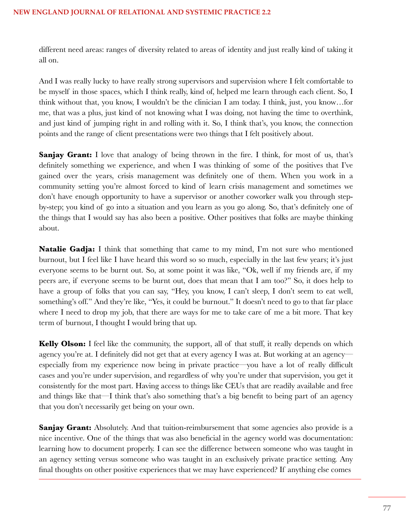different need areas: ranges of diversity related to areas of identity and just really kind of taking it all on.

And I was really lucky to have really strong supervisors and supervision where I felt comfortable to be myself in those spaces, which I think really, kind of, helped me learn through each client. So, I think without that, you know, I wouldn't be the clinician I am today. I think, just, you know…for me, that was a plus, just kind of not knowing what I was doing, not having the time to overthink, and just kind of jumping right in and rolling with it. So, I think that's, you know, the connection points and the range of client presentations were two things that I felt positively about.

**Sanjay Grant:** I love that analogy of being thrown in the fire. I think, for most of us, that's definitely something we experience, and when I was thinking of some of the positives that I've gained over the years, crisis management was definitely one of them. When you work in a community setting you're almost forced to kind of learn crisis management and sometimes we don't have enough opportunity to have a supervisor or another coworker walk you through stepby-step; you kind of go into a situation and you learn as you go along. So, that's definitely one of the things that I would say has also been a positive. Other positives that folks are maybe thinking about.

**Natalie Gadja:** I think that something that came to my mind, I'm not sure who mentioned burnout, but I feel like I have heard this word so so much, especially in the last few years; it's just everyone seems to be burnt out. So, at some point it was like, "Ok, well if my friends are, if my peers are, if everyone seems to be burnt out, does that mean that I am too?" So, it does help to have a group of folks that you can say, "Hey, you know, I can't sleep, I don't seem to eat well, something's off." And they're like, "Yes, it could be burnout." It doesn't need to go to that far place where I need to drop my job, that there are ways for me to take care of me a bit more. That key term of burnout, I thought I would bring that up.

**Kelly Olson:** I feel like the community, the support, all of that stuff, it really depends on which agency you're at. I definitely did not get that at every agency I was at. But working at an agency especially from my experience now being in private practice—you have a lot of really difficult cases and you're under supervision, and regardless of why you're under that supervision, you get it consistently for the most part. Having access to things like CEUs that are readily available and free and things like that—I think that's also something that's a big benefit to being part of an agency that you don't necessarily get being on your own.

**Sanjay Grant:** Absolutely. And that tuition-reimbursement that some agencies also provide is a nice incentive. One of the things that was also beneficial in the agency world was documentation: learning how to document properly. I can see the difference between someone who was taught in an agency setting versus someone who was taught in an exclusively private practice setting. Any final thoughts on other positive experiences that we may have experienced? If anything else comes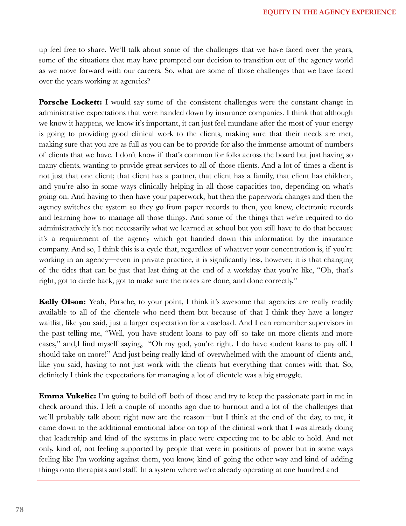up feel free to share. We'll talk about some of the challenges that we have faced over the years, some of the situations that may have prompted our decision to transition out of the agency world as we move forward with our careers. So, what are some of those challenges that we have faced over the years working at agencies?

**Porsche Lockett:** I would say some of the consistent challenges were the constant change in administrative expectations that were handed down by insurance companies. I think that although we know it happens, we know it's important, it can just feel mundane after the most of your energy is going to providing good clinical work to the clients, making sure that their needs are met, making sure that you are as full as you can be to provide for also the immense amount of numbers of clients that we have. I don't know if that's common for folks across the board but just having so many clients, wanting to provide great services to all of those clients. And a lot of times a client is not just that one client; that client has a partner, that client has a family, that client has children, and you're also in some ways clinically helping in all those capacities too, depending on what's going on. And having to then have your paperwork, but then the paperwork changes and then the agency switches the system so they go from paper records to then, you know, electronic records and learning how to manage all those things. And some of the things that we're required to do administratively it's not necessarily what we learned at school but you still have to do that because it's a requirement of the agency which got handed down this information by the insurance company. And so, I think this is a cycle that, regardless of whatever your concentration is, if you're working in an agency—even in private practice, it is significantly less, however, it is that changing of the tides that can be just that last thing at the end of a workday that you're like, "Oh, that's right, got to circle back, got to make sure the notes are done, and done correctly."

**Kelly Olson:** Yeah, Porsche, to your point, I think it's awesome that agencies are really readily available to all of the clientele who need them but because of that I think they have a longer waitlist, like you said, just a larger expectation for a caseload. And I can remember supervisors in the past telling me, "Well, you have student loans to pay off so take on more clients and more cases," and,I find myself saying, "Oh my god, you're right. I do have student loans to pay off. I should take on more!" And just being really kind of overwhelmed with the amount of clients and, like you said, having to not just work with the clients but everything that comes with that. So, definitely I think the expectations for managing a lot of clientele was a big struggle.

**Emma Vukelic:** I'm going to build off both of those and try to keep the passionate part in me in check around this. I left a couple of months ago due to burnout and a lot of the challenges that we'll probably talk about right now are the reason—but I think at the end of the day, to me, it came down to the additional emotional labor on top of the clinical work that I was already doing that leadership and kind of the systems in place were expecting me to be able to hold. And not only, kind of, not feeling supported by people that were in positions of power but in some ways feeling like I'm working against them, you know, kind of going the other way and kind of adding things onto therapists and staff. In a system where we're already operating at one hundred and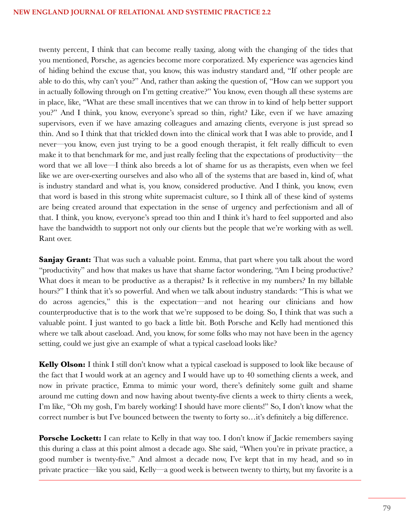twenty percent, I think that can become really taxing, along with the changing of the tides that you mentioned, Porsche, as agencies become more corporatized. My experience was agencies kind of hiding behind the excuse that, you know, this was industry standard and, "If other people are able to do this, why can't you?" And, rather than asking the question of, "How can we support you in actually following through on I'm getting creative?" You know, even though all these systems are in place, like, "What are these small incentives that we can throw in to kind of help better support you?" And I think, you know, everyone's spread so thin, right? Like, even if we have amazing supervisors, even if we have amazing colleagues and amazing clients, everyone is just spread so thin. And so I think that that trickled down into the clinical work that I was able to provide, and I never—you know, even just trying to be a good enough therapist, it felt really difficult to even make it to that benchmark for me, and just really feeling that the expectations of productivity—the word that we all love—I think also breeds a lot of shame for us as therapists, even when we feel like we are over-exerting ourselves and also who all of the systems that are based in, kind of, what is industry standard and what is, you know, considered productive. And I think, you know, even that word is based in this strong white supremacist culture, so I think all of these kind of systems are being created around that expectation in the sense of urgency and perfectionism and all of that. I think, you know, everyone's spread too thin and I think it's hard to feel supported and also have the bandwidth to support not only our clients but the people that we're working with as well. Rant over.

**Sanjay Grant:** That was such a valuable point. Emma, that part where you talk about the word "productivity" and how that makes us have that shame factor wondering, "Am I being productive? What does it mean to be productive as a therapist? Is it reflective in my numbers? In my billable hours?" I think that it's so powerful. And when we talk about industry standards: "This is what we do across agencies," this is the expectation—and not hearing our clinicians and how counterproductive that is to the work that we're supposed to be doing. So, I think that was such a valuable point. I just wanted to go back a little bit. Both Porsche and Kelly had mentioned this where we talk about caseload. And, you know, for some folks who may not have been in the agency setting, could we just give an example of what a typical caseload looks like?

**Kelly Olson:** I think I still don't know what a typical caseload is supposed to look like because of the fact that I would work at an agency and I would have up to 40 something clients a week, and now in private practice, Emma to mimic your word, there's definitely some guilt and shame around me cutting down and now having about twenty-five clients a week to thirty clients a week, I'm like, "Oh my gosh, I'm barely working! I should have more clients!" So, I don't know what the correct number is but I've bounced between the twenty to forty so…it's definitely a big difference.

**Porsche Lockett:** I can relate to Kelly in that way too. I don't know if Jackie remembers saying this during a class at this point almost a decade ago. She said, "When you're in private practice, a good number is twenty-five." And almost a decade now, I've kept that in my head, and so in private practice—like you said, Kelly—a good week is between twenty to thirty, but my favorite is a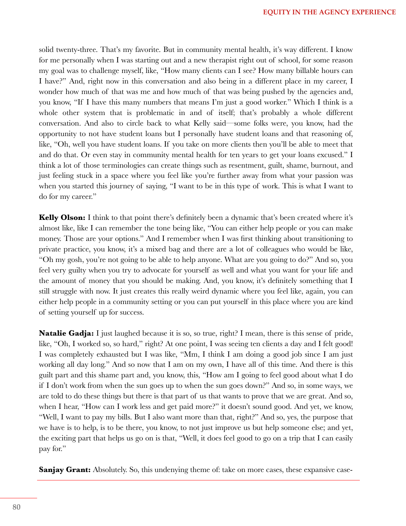solid twenty-three. That's my favorite. But in community mental health, it's way different. I know for me personally when I was starting out and a new therapist right out of school, for some reason my goal was to challenge myself, like, "How many clients can I see? How many billable hours can I have?" And, right now in this conversation and also being in a different place in my career, I wonder how much of that was me and how much of that was being pushed by the agencies and, you know, "If I have this many numbers that means I'm just a good worker." Which I think is a whole other system that is problematic in and of itself; that's probably a whole different conversation. And also to circle back to what Kelly said—some folks were, you know, had the opportunity to not have student loans but I personally have student loans and that reasoning of, like, "Oh, well you have student loans. If you take on more clients then you'll be able to meet that and do that. Or even stay in community mental health for ten years to get your loans excused." I think a lot of those terminologies can create things such as resentment, guilt, shame, burnout, and just feeling stuck in a space where you feel like you're further away from what your passion was when you started this journey of saying, "I want to be in this type of work. This is what I want to do for my career."

**Kelly Olson:** I think to that point there's definitely been a dynamic that's been created where it's almost like, like I can remember the tone being like, "You can either help people or you can make money. Those are your options." And I remember when I was first thinking about transitioning to private practice, you know, it's a mixed bag and there are a lot of colleagues who would be like, "Oh my gosh, you're not going to be able to help anyone. What are you going to do?" And so, you feel very guilty when you try to advocate for yourself as well and what you want for your life and the amount of money that you should be making. And, you know, it's definitely something that I still struggle with now. It just creates this really weird dynamic where you feel like, again, you can either help people in a community setting or you can put yourself in this place where you are kind of setting yourself up for success.

**Natalie Gadja:** I just laughed because it is so, so true, right? I mean, there is this sense of pride, like, "Oh, I worked so, so hard," right? At one point, I was seeing ten clients a day and I felt good! I was completely exhausted but I was like, "Mm, I think I am doing a good job since I am just working all day long." And so now that I am on my own, I have all of this time. And there is this guilt part and this shame part and, you know, this, "How am I going to feel good about what I do if I don't work from when the sun goes up to when the sun goes down?" And so, in some ways, we are told to do these things but there is that part of us that wants to prove that we are great. And so, when I hear, "How can I work less and get paid more?" it doesn't sound good. And yet, we know, "Well, I want to pay my bills. But I also want more than that, right?" And so, yes, the purpose that we have is to help, is to be there, you know, to not just improve us but help someone else; and yet, the exciting part that helps us go on is that, "Well, it does feel good to go on a trip that I can easily pay for."

**Sanjay Grant:** Absolutely. So, this undenying theme of: take on more cases, these expansive case-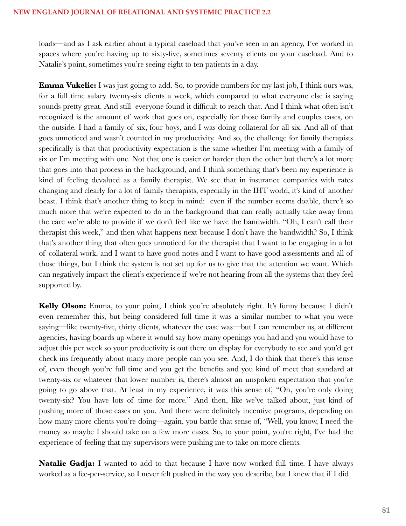loads—and as I ask earlier about a typical caseload that you've seen in an agency, I've worked in spaces where you're having up to sixty-five, sometimes seventy clients on your caseload. And to Natalie's point, sometimes you're seeing eight to ten patients in a day.

**Emma Vukelic:** I was just going to add. So, to provide numbers for my last job, I think ours was, for a full time salary twenty-six clients a week, which compared to what everyone else is saying sounds pretty great. And still everyone found it difficult to reach that. And I think what often isn't recognized is the amount of work that goes on, especially for those family and couples cases, on the outside. I had a family of six, four boys, and I was doing collateral for all six. And all of that goes unnoticed and wasn't counted in my productivity. And so, the challenge for family therapists specifically is that that productivity expectation is the same whether I'm meeting with a family of six or I'm meeting with one. Not that one is easier or harder than the other but there's a lot more that goes into that process in the background, and I think something that's been my experience is kind of feeling devalued as a family therapist. We see that in insurance companies with rates changing and clearly for a lot of family therapists, especially in the IHT world, it's kind of another beast. I think that's another thing to keep in mind: even if the number seems doable, there's so much more that we're expected to do in the background that can really actually take away from the care we're able to provide if we don't feel like we have the bandwidth. "Oh, I can't call their therapist this week," and then what happens next because I don't have the bandwidth? So, I think that's another thing that often goes unnoticed for the therapist that I want to be engaging in a lot of collateral work, and I want to have good notes and I want to have good assessments and all of those things, but I think the system is not set up for us to give that the attention we want. Which can negatively impact the client's experience if we're not hearing from all the systems that they feel supported by.

**Kelly Olson:** Emma, to your point, I think you're absolutely right. It's funny because I didn't even remember this, but being considered full time it was a similar number to what you were saying—like twenty-five, thirty clients, whatever the case was—but I can remember us, at different agencies, having boards up where it would say how many openings you had and you would have to adjust this per week so your productivity is out there on display for everybody to see and you'd get check ins frequently about many more people can you see. And, I do think that there's this sense of, even though you're full time and you get the benefits and you kind of meet that standard at twenty-six or whatever that lower number is, there's almost an unspoken expectation that you're going to go above that. At least in my experience, it was this sense of, "Oh, you're only doing twenty-six? You have lots of time for more." And then, like we've talked about, just kind of pushing more of those cases on you. And there were definitely incentive programs, depending on how many more clients you're doing—again, you battle that sense of, "Well, you know, I need the money so maybe I should take on a few more cases. So, to your point, you're right, I've had the experience of feeling that my supervisors were pushing me to take on more clients.

**Natalie Gadja:** I wanted to add to that because I have now worked full time. I have always worked as a fee-per-service, so I never felt pushed in the way you describe, but I knew that if I did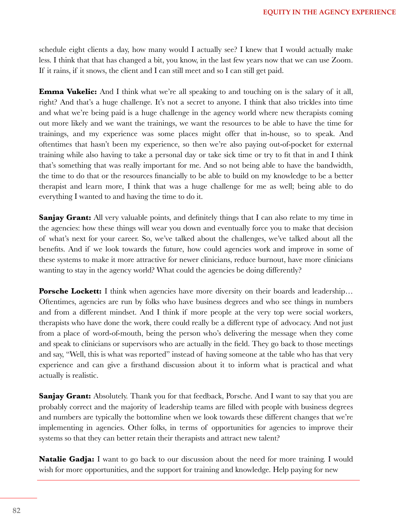schedule eight clients a day, how many would I actually see? I knew that I would actually make less. I think that that has changed a bit, you know, in the last few years now that we can use Zoom. If it rains, if it snows, the client and I can still meet and so I can still get paid.

**Emma Vukelic:** And I think what we're all speaking to and touching on is the salary of it all, right? And that's a huge challenge. It's not a secret to anyone. I think that also trickles into time and what we're being paid is a huge challenge in the agency world where new therapists coming out more likely and we want the trainings, we want the resources to be able to have the time for trainings, and my experience was some places might offer that in-house, so to speak. And oftentimes that hasn't been my experience, so then we're also paying out-of-pocket for external training while also having to take a personal day or take sick time or try to fit that in and I think that's something that was really important for me. And so not being able to have the bandwidth, the time to do that or the resources financially to be able to build on my knowledge to be a better therapist and learn more, I think that was a huge challenge for me as well; being able to do everything I wanted to and having the time to do it.

**Sanjay Grant:** All very valuable points, and definitely things that I can also relate to my time in the agencies: how these things will wear you down and eventually force you to make that decision of what's next for your career. So, we've talked about the challenges, we've talked about all the benefits. And if we look towards the future, how could agencies work and improve in some of these systems to make it more attractive for newer clinicians, reduce burnout, have more clinicians wanting to stay in the agency world? What could the agencies be doing differently?

**Porsche Lockett:** I think when agencies have more diversity on their boards and leadership... Oftentimes, agencies are run by folks who have business degrees and who see things in numbers and from a different mindset. And I think if more people at the very top were social workers, therapists who have done the work, there could really be a different type of advocacy. And not just from a place of word-of-mouth, being the person who's delivering the message when they come and speak to clinicians or supervisors who are actually in the field. They go back to those meetings and say, "Well, this is what was reported" instead of having someone at the table who has that very experience and can give a firsthand discussion about it to inform what is practical and what actually is realistic.

**Sanjay Grant:** Absolutely. Thank you for that feedback, Porsche. And I want to say that you are probably correct and the majority of leadership teams are filled with people with business degrees and numbers are typically the bottomline when we look towards these different changes that we're implementing in agencies. Other folks, in terms of opportunities for agencies to improve their systems so that they can better retain their therapists and attract new talent?

**Natalie Gadja:** I want to go back to our discussion about the need for more training. I would wish for more opportunities, and the support for training and knowledge. Help paying for new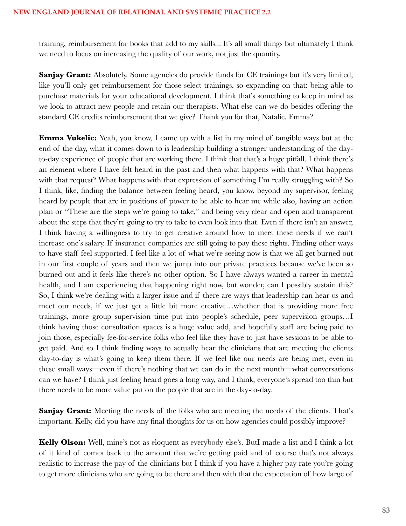training, reimbursement for books that add to my skills... It's all small things but ultimately I think we need to focus on increasing the quality of our work, not just the quantity.

**Sanjay Grant:** Absolutely. Some agencies do provide funds for CE trainings but it's very limited, like you'll only get reimbursement for those select trainings, so expanding on that: being able to purchase materials for your educational development. I think that's something to keep in mind as we look to attract new people and retain our therapists. What else can we do besides offering the standard CE credits reimbursement that we give? Thank you for that, Natalie. Emma?

**Emma Vukelic:** Yeah, you know, I came up with a list in my mind of tangible ways but at the end of the day, what it comes down to is leadership building a stronger understanding of the dayto-day experience of people that are working there. I think that that's a huge pitfall. I think there's an element where I have felt heard in the past and then what happens with that? What happens with that request? What happens with that expression of something I'm really struggling with? So I think, like, finding the balance between feeling heard, you know, beyond my supervisor, feeling heard by people that are in positions of power to be able to hear me while also, having an action plan or "These are the steps we're going to take," and being very clear and open and transparent about the steps that they're going to try to take to even look into that. Even if there isn't an answer, I think having a willingness to try to get creative around how to meet these needs if we can't increase one's salary. If insurance companies are still going to pay these rights. Finding other ways to have staff feel supported. I feel like a lot of what we're seeing now is that we all get burned out in our first couple of years and then we jump into our private practices because we've been so burned out and it feels like there's no other option. So I have always wanted a career in mental health, and I am experiencing that happening right now, but wonder, can I possibly sustain this? So, I think we're dealing with a larger issue and if there are ways that leadership can hear us and meet our needs, if we just get a little bit more creative…whether that is providing more free trainings, more group supervision time put into people's schedule, peer supervision groups…I think having those consultation spaces is a huge value add, and hopefully staff are being paid to join those, especially fee-for-service folks who feel like they have to just have sessions to be able to get paid. And so I think finding ways to actually hear the clinicians that are meeting the clients day-to-day is what's going to keep them there. If we feel like our needs are being met, even in these small ways—even if there's nothing that we can do in the next month—what conversations can we have? I think just feeling heard goes a long way, and I think, everyone's spread too thin but there needs to be more value put on the people that are in the day-to-day.

**Sanjay Grant:** Meeting the needs of the folks who are meeting the needs of the clients. That's important. Kelly, did you have any final thoughts for us on how agencies could possibly improve?

**Kelly Olson:** Well, mine's not as eloquent as everybody else's. ButI made a list and I think a lot of it kind of comes back to the amount that we're getting paid and of course that's not always realistic to increase the pay of the clinicians but I think if you have a higher pay rate you're going to get more clinicians who are going to be there and then with that the expectation of how large of